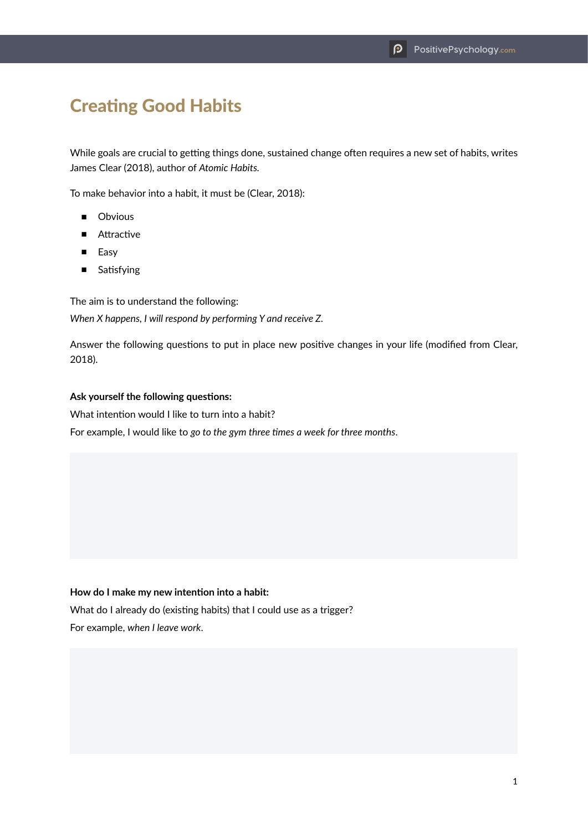## Creating Good Habits

While goals are crucial to getting things done, sustained change often requires a new set of habits, writes James Clear (2018), author of *Atomic Habits.*

To make behavior into a habit, it must be (Clear, 2018):

- Obvious
- Attractive
- Easy
- Satisfying

The aim is to understand the following:

*When X happens, I will respond by performing Y and receive Z.*

Answer the following questions to put in place new positive changes in your life (modified from Clear, 2018).

## **Ask yourself the following questions:**

What intention would I like to turn into a habit?

For example, I would like to *go to the gym three times a week for three months*.

## **How do I make my new intention into a habit:**

What do I already do (existing habits) that I could use as a trigger? For example, *when I leave work*.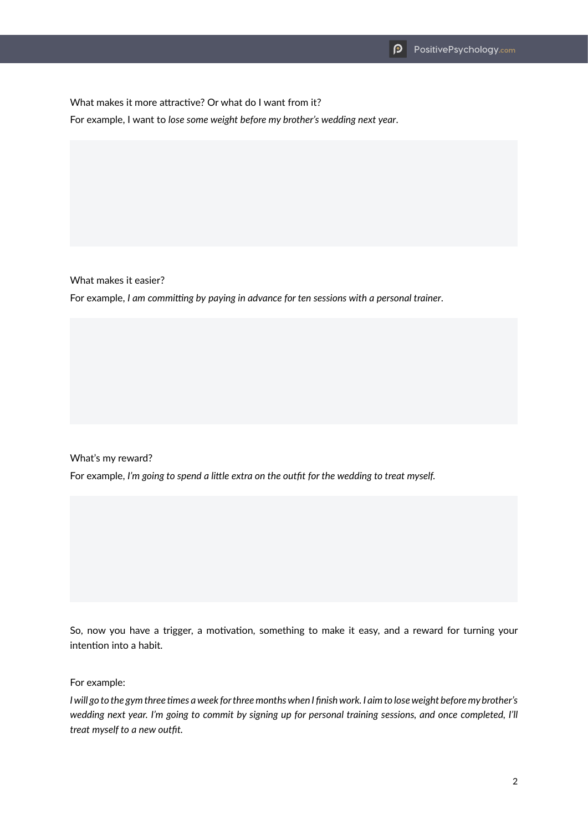What makes it more attractive? Or what do I want from it?

For example, I want to *lose some weight before my brother's wedding next year*.

What makes it easier?

For example, *I am committing by paying in advance for ten sessions with a personal trainer*.

What's my reward?

For example, *I'm going to spend a little extra on the outfit for the wedding to treat myself.*

So, now you have a trigger, a motivation, something to make it easy, and a reward for turning your intention into a habit.

For example:

*I* will go to the gym three times a week for three months when I finish work. I aim to lose weight before my brother's *wedding next year. I'm going to commit by signing up for personal training sessions, and once completed, I'll treat myself to a new outfit.*